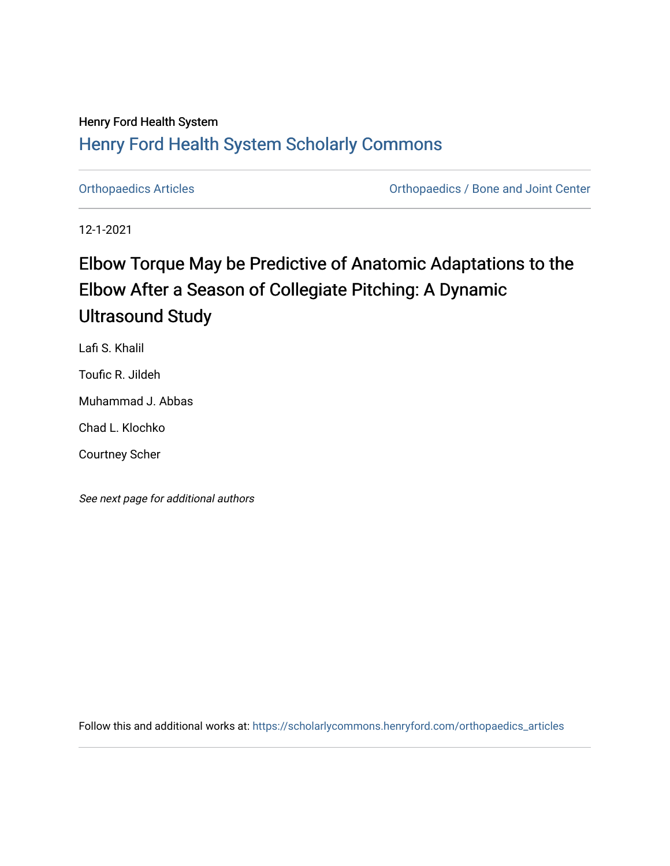# Henry Ford Health System [Henry Ford Health System Scholarly Commons](https://scholarlycommons.henryford.com/)

[Orthopaedics Articles](https://scholarlycommons.henryford.com/orthopaedics_articles) [Orthopaedics / Bone and Joint Center](https://scholarlycommons.henryford.com/orthopaedics) 

12-1-2021

# Elbow Torque May be Predictive of Anatomic Adaptations to the Elbow After a Season of Collegiate Pitching: A Dynamic Ultrasound Study

Lafi S. Khalil

Toufic R. Jildeh

Muhammad J. Abbas

Chad L. Klochko

Courtney Scher

See next page for additional authors

Follow this and additional works at: [https://scholarlycommons.henryford.com/orthopaedics\\_articles](https://scholarlycommons.henryford.com/orthopaedics_articles?utm_source=scholarlycommons.henryford.com%2Forthopaedics_articles%2F378&utm_medium=PDF&utm_campaign=PDFCoverPages)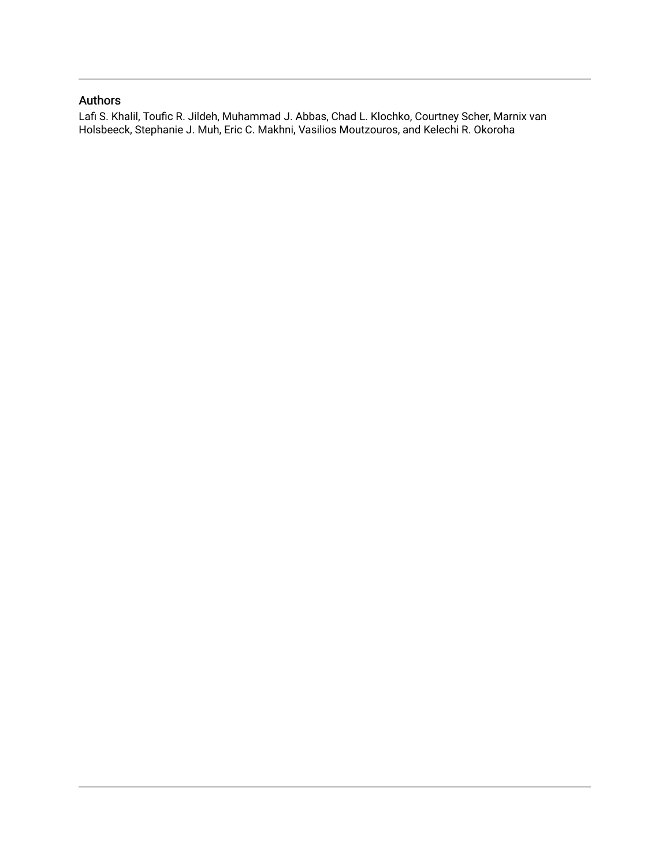# Authors

Lafi S. Khalil, Toufic R. Jildeh, Muhammad J. Abbas, Chad L. Klochko, Courtney Scher, Marnix van Holsbeeck, Stephanie J. Muh, Eric C. Makhni, Vasilios Moutzouros, and Kelechi R. Okoroha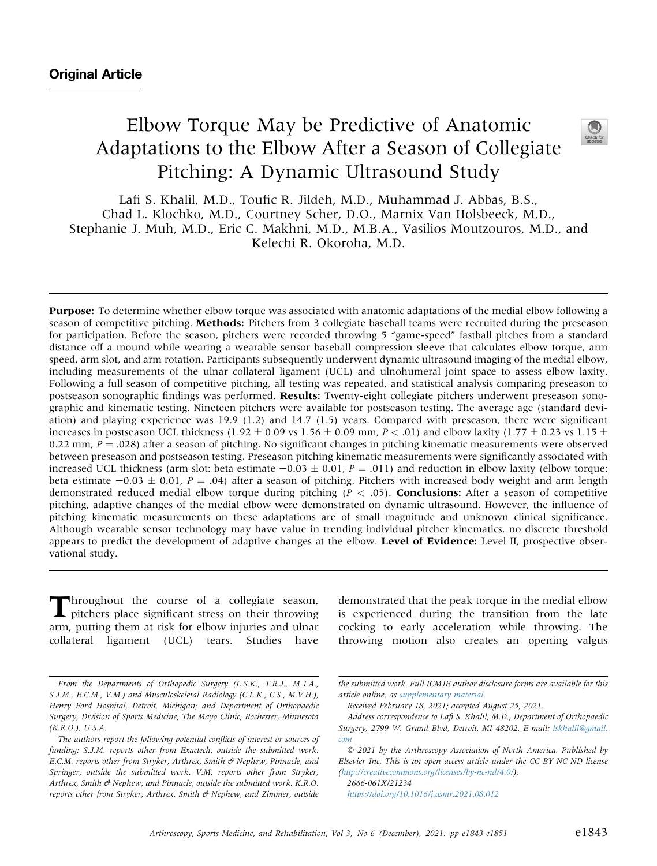# Elbow Torque May be Predictive of Anatomic Adaptations to the Elbow After a Season of Collegiate Pitching: A Dynamic Ultrasound Study



Lafi S. Khalil, M.D., Toufic R. Jildeh, M.D., Muhammad J. Abbas, B.S., Chad L. Klochko, M.D., Courtney Scher, D.O., Marnix Van Holsbeeck, M.D., Stephanie J. Muh, M.D., Eric C. Makhni, M.D., M.B.A., Vasilios Moutzouros, M.D., and Kelechi R. Okoroha, M.D.

Purpose: To determine whether elbow torque was associated with anatomic adaptations of the medial elbow following a season of competitive pitching. **Methods:** Pitchers from 3 collegiate baseball teams were recruited during the preseason for participation. Before the season, pitchers were recorded throwing 5 "game-speed" fastball pitches from a standard distance off a mound while wearing a wearable sensor baseball compression sleeve that calculates elbow torque, arm speed, arm slot, and arm rotation. Participants subsequently underwent dynamic ultrasound imaging of the medial elbow, including measurements of the ulnar collateral ligament (UCL) and ulnohumeral joint space to assess elbow laxity. Following a full season of competitive pitching, all testing was repeated, and statistical analysis comparing preseason to postseason sonographic findings was performed. Results: Twenty-eight collegiate pitchers underwent preseason sonographic and kinematic testing. Nineteen pitchers were available for postseason testing. The average age (standard deviation) and playing experience was 19.9 (1.2) and 14.7 (1.5) years. Compared with preseason, there were significant increases in postseason UCL thickness (1.92  $\pm$  0.09 vs 1.56  $\pm$  0.09 mm, P < .01) and elbow laxity (1.77  $\pm$  0.23 vs 1.15  $\pm$ 0.22 mm,  $P = 0.028$ ) after a season of pitching. No significant changes in pitching kinematic measurements were observed between preseason and postseason testing. Preseason pitching kinematic measurements were significantly associated with increased UCL thickness (arm slot: beta estimate  $-0.03 \pm 0.01$ ,  $P = .011$ ) and reduction in elbow laxity (elbow torque: beta estimate  $-0.03 \pm 0.01$ , P = .04) after a season of pitching. Pitchers with increased body weight and arm length demonstrated reduced medial elbow torque during pitching ( $P < .05$ ). **Conclusions:** After a season of competitive pitching, adaptive changes of the medial elbow were demonstrated on dynamic ultrasound. However, the influence of pitching kinematic measurements on these adaptations are of small magnitude and unknown clinical significance. Although wearable sensor technology may have value in trending individual pitcher kinematics, no discrete threshold appears to predict the development of adaptive changes at the elbow. Level of Evidence: Level II, prospective observational study.

Throughout the course of a collegiate season, pitchers place significant stress on their throwing arm, putting them at risk for elbow injuries and ulnar collateral ligament (UCL) tears. Studies have

demonstrated that the peak torque in the medial elbow is experienced during the transition from the late cocking to early acceleration while throwing. The throwing motion also creates an opening valgus

2666-061X/21234 <https://doi.org/10.1016/j.asmr.2021.08.012>

From the Departments of Orthopedic Surgery (L.S.K., T.R.J., M.J.A., S.J.M., E.C.M., V.M.) and Musculoskeletal Radiology (C.L.K., C.S., M.V.H.), Henry Ford Hospital, Detroit, Michigan; and Department of Orthopaedic Surgery, Division of Sports Medicine, The Mayo Clinic, Rochester, Minnesota (K.R.O.), U.S.A.

The authors report the following potential conflicts of interest or sources of funding: S.J.M. reports other from Exactech, outside the submitted work. E.C.M. reports other from Stryker, Arthrex, Smith  $\mathcal O$  Nephew, Pinnacle, and Springer, outside the submitted work. V.M. reports other from Stryker, Arthrex, Smith & Nephew, and Pinnacle, outside the submitted work. K.R.O. reports other from Stryker, Arthrex, Smith  $\mathcal O$  Nephew, and Zimmer, outside

the submitted work. Full ICMJE author disclosure forms are available for this article online, as supplementary material.

Received February 18, 2021; accepted August 25, 2021.

Address correspondence to Lafi S. Khalil, M.D., Department of Orthopaedic Surgery, 2799 W. Grand Blvd, Detroit, MI 48202. E-mail: [lskhalil@gmail.](mailto:lskhalil@gmail.com) [com](mailto:lskhalil@gmail.com)

2021 by the Arthroscopy Association of North America. Published by Elsevier Inc. This is an open access article under the CC BY-NC-ND license (<http://creativecommons.org/licenses/by-nc-nd/4.0/>).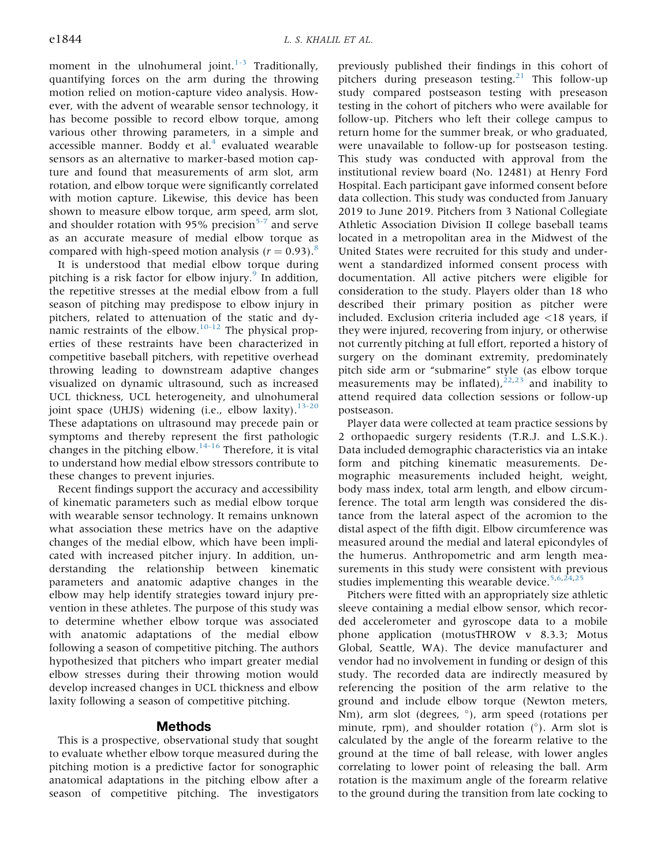moment in the ulnohumeral joint. $1-3$  Traditionally, quantifying forces on the arm during the throwing motion relied on motion-capture video analysis. However, with the advent of wearable sensor technology, it has become possible to record elbow torque, among various other throwing parameters, in a simple and accessible manner. Boddy et al. $4$  evaluated wearable sensors as an alternative to marker-based motion capture and found that measurements of arm slot, arm rotation, and elbow torque were significantly correlated with motion capture. Likewise, this device has been shown to measure elbow torque, arm speed, arm slot, and shoulder rotation with 95% precision<sup>[5-7](#page-9-1)</sup> and serve as an accurate measure of medial elbow torque as compared with high-speed motion analysis ( $r = 0.93$ ).<sup>[8](#page-9-2)</sup>

It is understood that medial elbow torque during pitching is a risk factor for elbow injury. $9$  In addition, the repetitive stresses at the medial elbow from a full season of pitching may predispose to elbow injury in pitchers, related to attenuation of the static and dy-namic restraints of the elbow.<sup>[10-12](#page-9-4)</sup> The physical properties of these restraints have been characterized in competitive baseball pitchers, with repetitive overhead throwing leading to downstream adaptive changes visualized on dynamic ultrasound, such as increased UCL thickness, UCL heterogeneity, and ulnohumeral joint space (UHJS) widening (i.e., elbow laxity).  $13-20$ These adaptations on ultrasound may precede pain or symptoms and thereby represent the first pathologic changes in the pitching elbow. $14-16$  Therefore, it is vital to understand how medial elbow stressors contribute to these changes to prevent injuries.

Recent findings support the accuracy and accessibility of kinematic parameters such as medial elbow torque with wearable sensor technology. It remains unknown what association these metrics have on the adaptive changes of the medial elbow, which have been implicated with increased pitcher injury. In addition, understanding the relationship between kinematic parameters and anatomic adaptive changes in the elbow may help identify strategies toward injury prevention in these athletes. The purpose of this study was to determine whether elbow torque was associated with anatomic adaptations of the medial elbow following a season of competitive pitching. The authors hypothesized that pitchers who impart greater medial elbow stresses during their throwing motion would develop increased changes in UCL thickness and elbow laxity following a season of competitive pitching.

## Methods

This is a prospective, observational study that sought to evaluate whether elbow torque measured during the pitching motion is a predictive factor for sonographic anatomical adaptations in the pitching elbow after a season of competitive pitching. The investigators

previously published their findings in this cohort of pitchers during preseason testing.<sup>[21](#page-9-7)</sup> This follow-up study compared postseason testing with preseason testing in the cohort of pitchers who were available for follow-up. Pitchers who left their college campus to return home for the summer break, or who graduated, were unavailable to follow-up for postseason testing. This study was conducted with approval from the institutional review board (No. 12481) at Henry Ford Hospital. Each participant gave informed consent before data collection. This study was conducted from January 2019 to June 2019. Pitchers from 3 National Collegiate Athletic Association Division II college baseball teams located in a metropolitan area in the Midwest of the United States were recruited for this study and underwent a standardized informed consent process with documentation. All active pitchers were eligible for consideration to the study. Players older than 18 who described their primary position as pitcher were included. Exclusion criteria included age <18 years, if they were injured, recovering from injury, or otherwise not currently pitching at full effort, reported a history of surgery on the dominant extremity, predominately pitch side arm or "submarine" style (as elbow torque measurements may be inflated), $22,23$  $22,23$  and inability to attend required data collection sessions or follow-up postseason.

Player data were collected at team practice sessions by 2 orthopaedic surgery residents (T.R.J. and L.S.K.). Data included demographic characteristics via an intake form and pitching kinematic measurements. Demographic measurements included height, weight, body mass index, total arm length, and elbow circumference. The total arm length was considered the distance from the lateral aspect of the acromion to the distal aspect of the fifth digit. Elbow circumference was measured around the medial and lateral epicondyles of the humerus. Anthropometric and arm length measurements in this study were consistent with previous studies implementing this wearable device.<sup>[5](#page-9-1)[,6](#page-9-10)[,24,](#page-9-11)[25](#page-9-12)</sup>

Pitchers were fitted with an appropriately size athletic sleeve containing a medial elbow sensor, which recorded accelerometer and gyroscope data to a mobile phone application (motusTHROW v 8.3.3; Motus Global, Seattle, WA). The device manufacturer and vendor had no involvement in funding or design of this study. The recorded data are indirectly measured by referencing the position of the arm relative to the ground and include elbow torque (Newton meters, Nm), arm slot (degrees,  $\degree$ ), arm speed (rotations per minute, rpm), and shoulder rotation  $(°)$ . Arm slot is calculated by the angle of the forearm relative to the ground at the time of ball release, with lower angles correlating to lower point of releasing the ball. Arm rotation is the maximum angle of the forearm relative to the ground during the transition from late cocking to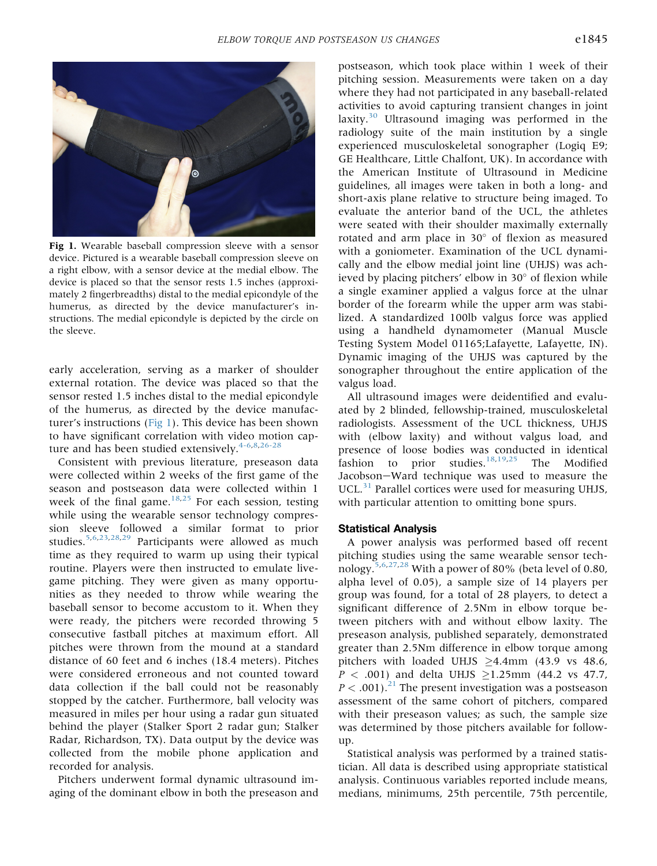<span id="page-4-0"></span>

Fig 1. Wearable baseball compression sleeve with a sensor device. Pictured is a wearable baseball compression sleeve on a right elbow, with a sensor device at the medial elbow. The device is placed so that the sensor rests 1.5 inches (approximately 2 fingerbreadths) distal to the medial epicondyle of the humerus, as directed by the device manufacturer's instructions. The medial epicondyle is depicted by the circle on the sleeve.

early acceleration, serving as a marker of shoulder external rotation. The device was placed so that the sensor rested 1.5 inches distal to the medial epicondyle of the humerus, as directed by the device manufacturer's instructions ([Fig 1](#page-4-0)). This device has been shown to have significant correlation with video motion cap-ture and has been studied extensively.<sup>[4-6,](#page-9-0)[8](#page-9-2)[,26-28](#page-9-13)</sup>

Consistent with previous literature, preseason data were collected within 2 weeks of the first game of the season and postseason data were collected within 1 week of the final game. $18,25$  $18,25$  For each session, testing while using the wearable sensor technology compression sleeve followed a similar format to prior studies.<sup>[5](#page-9-1)[,6,](#page-9-10)[23,](#page-9-9)[28](#page-9-15)[,29](#page-9-16)</sup> Participants were allowed as much time as they required to warm up using their typical routine. Players were then instructed to emulate livegame pitching. They were given as many opportunities as they needed to throw while wearing the baseball sensor to become accustom to it. When they were ready, the pitchers were recorded throwing 5 consecutive fastball pitches at maximum effort. All pitches were thrown from the mound at a standard distance of 60 feet and 6 inches (18.4 meters). Pitches were considered erroneous and not counted toward data collection if the ball could not be reasonably stopped by the catcher. Furthermore, ball velocity was measured in miles per hour using a radar gun situated behind the player (Stalker Sport 2 radar gun; Stalker Radar, Richardson, TX). Data output by the device was collected from the mobile phone application and recorded for analysis.

Pitchers underwent formal dynamic ultrasound imaging of the dominant elbow in both the preseason and postseason, which took place within 1 week of their pitching session. Measurements were taken on a day where they had not participated in any baseball-related activities to avoid capturing transient changes in joint laxity. $30$  Ultrasound imaging was performed in the radiology suite of the main institution by a single experienced musculoskeletal sonographer (Logiq E9; GE Healthcare, Little Chalfont, UK). In accordance with the American Institute of Ultrasound in Medicine guidelines, all images were taken in both a long- and short-axis plane relative to structure being imaged. To evaluate the anterior band of the UCL, the athletes were seated with their shoulder maximally externally rotated and arm place in  $30^{\circ}$  of flexion as measured with a goniometer. Examination of the UCL dynamically and the elbow medial joint line (UHJS) was achieved by placing pitchers' elbow in  $30^\circ$  of flexion while a single examiner applied a valgus force at the ulnar border of the forearm while the upper arm was stabilized. A standardized 100lb valgus force was applied using a handheld dynamometer (Manual Muscle Testing System Model 01165;Lafayette, Lafayette, IN). Dynamic imaging of the UHJS was captured by the sonographer throughout the entire application of the valgus load.

All ultrasound images were deidentified and evaluated by 2 blinded, fellowship-trained, musculoskeletal radiologists. Assessment of the UCL thickness, UHJS with (elbow laxity) and without valgus load, and presence of loose bodies was conducted in identical fashion to prior studies.<sup>[18](#page-9-14),[19,](#page-9-18)[25](#page-9-12)</sup> The Modified Jacobson-Ward technique was used to measure the UCL.<sup>[31](#page-9-19)</sup> Parallel cortices were used for measuring UHJS, with particular attention to omitting bone spurs.

#### Statistical Analysis

A power analysis was performed based off recent pitching studies using the same wearable sensor tech-nology.<sup>[5,](#page-9-1)[6](#page-9-10)[,27](#page-9-20)[,28](#page-9-15)</sup> With a power of 80% (beta level of 0.80, alpha level of 0.05), a sample size of 14 players per group was found, for a total of 28 players, to detect a significant difference of 2.5Nm in elbow torque between pitchers with and without elbow laxity. The preseason analysis, published separately, demonstrated greater than 2.5Nm difference in elbow torque among pitchers with loaded UHJS  $\geq$ 4.4mm (43.9 vs 48.6,  $P < .001$ ) and delta UHJS  $\geq$ 1.25mm (44.2 vs 47.7,  $P < .001$ ).<sup>21</sup> The present investigation was a postseason assessment of the same cohort of pitchers, compared with their preseason values; as such, the sample size was determined by those pitchers available for followup.

Statistical analysis was performed by a trained statistician. All data is described using appropriate statistical analysis. Continuous variables reported include means, medians, minimums, 25th percentile, 75th percentile,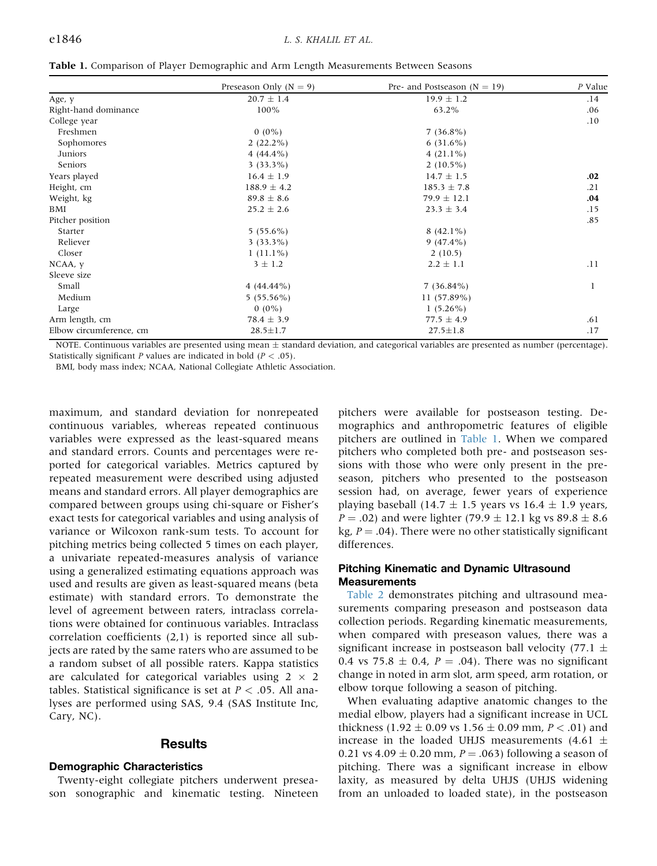<span id="page-5-0"></span>

|  |  |  |  |  |  | Table 1. Comparison of Player Demographic and Arm Length Measurements Between Seasons |
|--|--|--|--|--|--|---------------------------------------------------------------------------------------|
|--|--|--|--|--|--|---------------------------------------------------------------------------------------|

|                         | Preseason Only ( $N = 9$ ) | Pre- and Postseason ( $N = 19$ ) | P Value      |
|-------------------------|----------------------------|----------------------------------|--------------|
| Age, y                  | $20.7 \pm 1.4$             | $19.9 \pm 1.2$                   | .14          |
| Right-hand dominance    | 100%                       | 63.2%                            | .06          |
| College year            |                            |                                  | .10          |
| Freshmen                | $0(0\%)$                   | $7(36.8\%)$                      |              |
| Sophomores              | $2(22.2\%)$                | $6(31.6\%)$                      |              |
| Juniors                 | $4(44.4\%)$                | $4(21.1\%)$                      |              |
| Seniors                 | $3(33.3\%)$                | $2(10.5\%)$                      |              |
| Years played            | $16.4 \pm 1.9$             | $14.7 \pm 1.5$                   | .02          |
| Height, cm              | $188.9 \pm 4.2$            | $185.3 \pm 7.8$                  | .21          |
| Weight, kg              | $89.8 \pm 8.6$             | $79.9 \pm 12.1$                  | .04          |
| BMI                     | $25.2 \pm 2.6$             | $23.3 \pm 3.4$                   | .15          |
| Pitcher position        |                            |                                  | .85          |
| Starter                 | $5(55.6\%)$                | $8(42.1\%)$                      |              |
| Reliever                | $3(33.3\%)$                | $9(47.4\%)$                      |              |
| Closer                  | $1(11.1\%)$                | 2(10.5)                          |              |
| NCAA, y                 | $3 \pm 1.2$                | $2.2 \pm 1.1$                    | .11          |
| Sleeve size             |                            |                                  |              |
| Small                   | $4(44.44\%)$               | $7(36.84\%)$                     | $\mathbf{l}$ |
| Medium                  | $5(55.56\%)$               | 11 (57.89%)                      |              |
| Large                   | $0(0\%)$                   | $1(5.26\%)$                      |              |
| Arm length, cm          | $78.4 \pm 3.9$             | $77.5 \pm 4.9$                   | .61          |
| Elbow circumference, cm | $28.5 \pm 1.7$             | $27.5 \pm 1.8$                   | .17          |

NOTE. Continuous variables are presented using mean  $\pm$  standard deviation, and categorical variables are presented as number (percentage). Statistically significant P values are indicated in bold ( $P < .05$ ).

BMI, body mass index; NCAA, National Collegiate Athletic Association.

maximum, and standard deviation for nonrepeated continuous variables, whereas repeated continuous variables were expressed as the least-squared means and standard errors. Counts and percentages were reported for categorical variables. Metrics captured by repeated measurement were described using adjusted means and standard errors. All player demographics are compared between groups using chi-square or Fisher's exact tests for categorical variables and using analysis of variance or Wilcoxon rank-sum tests. To account for pitching metrics being collected 5 times on each player, a univariate repeated-measures analysis of variance using a generalized estimating equations approach was used and results are given as least-squared means (beta estimate) with standard errors. To demonstrate the level of agreement between raters, intraclass correlations were obtained for continuous variables. Intraclass correlation coefficients (2,1) is reported since all subjects are rated by the same raters who are assumed to be a random subset of all possible raters. Kappa statistics are calculated for categorical variables using  $2 \times 2$ tables. Statistical significance is set at  $P < .05$ . All analyses are performed using SAS, 9.4 (SAS Institute Inc, Cary, NC).

## **Results**

#### Demographic Characteristics

Twenty-eight collegiate pitchers underwent preseason sonographic and kinematic testing. Nineteen pitchers were available for postseason testing. Demographics and anthropometric features of eligible pitchers are outlined in [Table 1](#page-5-0). When we compared pitchers who completed both pre- and postseason sessions with those who were only present in the preseason, pitchers who presented to the postseason session had, on average, fewer years of experience playing baseball (14.7  $\pm$  1.5 years vs 16.4  $\pm$  1.9 years,  $P = .02$ ) and were lighter (79.9  $\pm$  12.1 kg vs 89.8  $\pm$  8.6 kg,  $P = .04$ ). There were no other statistically significant differences.

### Pitching Kinematic and Dynamic Ultrasound **Measurements**

[Table 2](#page-6-0) demonstrates pitching and ultrasound measurements comparing preseason and postseason data collection periods. Regarding kinematic measurements, when compared with preseason values, there was a significant increase in postseason ball velocity (77.1  $\pm$ 0.4 vs 75.8  $\pm$  0.4, P = .04). There was no significant change in noted in arm slot, arm speed, arm rotation, or elbow torque following a season of pitching.

When evaluating adaptive anatomic changes to the medial elbow, players had a significant increase in UCL thickness (1.92  $\pm$  0.09 vs 1.56  $\pm$  0.09 mm, P < .01) and increase in the loaded UHJS measurements (4.61  $\pm$ 0.21 vs 4.09  $\pm$  0.20 mm, P = .063) following a season of pitching. There was a significant increase in elbow laxity, as measured by delta UHJS (UHJS widening from an unloaded to loaded state), in the postseason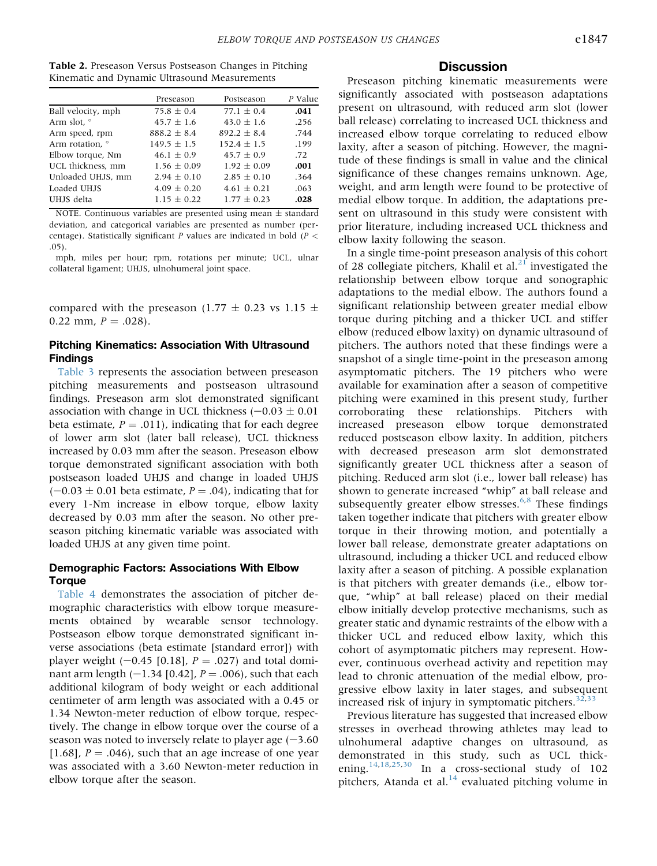<span id="page-6-0"></span>

| <b>Table 2.</b> Preseason Versus Postseason Changes in Pitching |  |
|-----------------------------------------------------------------|--|
| Kinematic and Dynamic Ultrasound Measurements                   |  |

|                    | Preseason       | Postseason    | P Value |
|--------------------|-----------------|---------------|---------|
| Ball velocity, mph | $75.8 + 0.4$    | $77.1 + 0.4$  | .041    |
| Arm slot, °        | $45.7 \pm 1.6$  | $43.0 + 1.6$  | .256    |
| Arm speed, rpm     | $888.2 + 8.4$   | $892.2 + 8.4$ | .744    |
| Arm rotation, °    | $149.5 + 1.5$   | $152.4 + 1.5$ | .199    |
| Elbow torque, Nm   | $46.1 \pm 0.9$  | $45.7 + 0.9$  | .72     |
| UCL thickness, mm  | $1.56 \pm 0.09$ | $1.92 + 0.09$ | .001    |
| Unloaded UHJS, mm  | $2.94 \pm 0.10$ | $2.85 + 0.10$ | .364    |
| Loaded UHJS        | $4.09 + 0.20$   | $4.61 + 0.21$ | .063    |
| UHJS delta         | $1.15 + 0.22$   | $1.77 + 0.23$ | .028    |

NOTE. Continuous variables are presented using mean  $\pm$  standard deviation, and categorical variables are presented as number (percentage). Statistically significant P values are indicated in bold ( $P <$ .05).

mph, miles per hour; rpm, rotations per minute; UCL, ulnar collateral ligament; UHJS, ulnohumeral joint space.

compared with the preseason (1.77  $\pm$  0.23 vs 1.15  $\pm$ 0.22 mm,  $P = .028$ ).

#### Pitching Kinematics: Association With Ultrasound Findings

[Table 3](#page-7-0) represents the association between preseason pitching measurements and postseason ultrasound findings. Preseason arm slot demonstrated significant association with change in UCL thickness  $(-0.03 \pm 0.01)$ beta estimate,  $P = .011$ ), indicating that for each degree of lower arm slot (later ball release), UCL thickness increased by 0.03 mm after the season. Preseason elbow torque demonstrated significant association with both postseason loaded UHJS and change in loaded UHJS  $(-0.03 \pm 0.01$  beta estimate,  $P = .04$ ), indicating that for every 1-Nm increase in elbow torque, elbow laxity decreased by 0.03 mm after the season. No other preseason pitching kinematic variable was associated with loaded UHJS at any given time point.

#### Demographic Factors: Associations With Elbow Torque

[Table 4](#page-7-1) demonstrates the association of pitcher demographic characteristics with elbow torque measurements obtained by wearable sensor technology. Postseason elbow torque demonstrated significant inverse associations (beta estimate [standard error]) with player weight  $(-0.45 \, [0.18]$ ,  $P = .027$ ) and total dominant arm length  $(-1.34 [0.42], P = .006)$ , such that each additional kilogram of body weight or each additional centimeter of arm length was associated with a 0.45 or 1.34 Newton-meter reduction of elbow torque, respectively. The change in elbow torque over the course of a season was noted to inversely relate to player age  $(-3.60)$ [1.68],  $P = .046$ ), such that an age increase of one year was associated with a 3.60 Newton-meter reduction in elbow torque after the season.

## **Discussion**

Preseason pitching kinematic measurements were significantly associated with postseason adaptations present on ultrasound, with reduced arm slot (lower ball release) correlating to increased UCL thickness and increased elbow torque correlating to reduced elbow laxity, after a season of pitching. However, the magnitude of these findings is small in value and the clinical significance of these changes remains unknown. Age, weight, and arm length were found to be protective of medial elbow torque. In addition, the adaptations present on ultrasound in this study were consistent with prior literature, including increased UCL thickness and elbow laxity following the season.

In a single time-point preseason analysis of this cohort of 28 collegiate pitchers, Khalil et al. $^{21}$  $^{21}$  $^{21}$  investigated the relationship between elbow torque and sonographic adaptations to the medial elbow. The authors found a significant relationship between greater medial elbow torque during pitching and a thicker UCL and stiffer elbow (reduced elbow laxity) on dynamic ultrasound of pitchers. The authors noted that these findings were a snapshot of a single time-point in the preseason among asymptomatic pitchers. The 19 pitchers who were available for examination after a season of competitive pitching were examined in this present study, further corroborating these relationships. Pitchers with increased preseason elbow torque demonstrated reduced postseason elbow laxity. In addition, pitchers with decreased preseason arm slot demonstrated significantly greater UCL thickness after a season of pitching. Reduced arm slot (i.e., lower ball release) has shown to generate increased "whip" at ball release and subsequently greater elbow stresses.<sup>[6,](#page-9-10)[8](#page-9-2)</sup> These findings taken together indicate that pitchers with greater elbow torque in their throwing motion, and potentially a lower ball release, demonstrate greater adaptations on ultrasound, including a thicker UCL and reduced elbow laxity after a season of pitching. A possible explanation is that pitchers with greater demands (i.e., elbow torque, "whip" at ball release) placed on their medial elbow initially develop protective mechanisms, such as greater static and dynamic restraints of the elbow with a thicker UCL and reduced elbow laxity, which this cohort of asymptomatic pitchers may represent. However, continuous overhead activity and repetition may lead to chronic attenuation of the medial elbow, progressive elbow laxity in later stages, and subsequent increased risk of injury in symptomatic pitchers. $32,33$  $32,33$ 

Previous literature has suggested that increased elbow stresses in overhead throwing athletes may lead to ulnohumeral adaptive changes on ultrasound, as demonstrated in this study, such as UCL thick-ening.<sup>[14,](#page-9-6)[18,](#page-9-14)[25](#page-9-12)[,30](#page-9-17)</sup> In a cross-sectional study of 102 pitchers, Atanda et al. $^{14}$  $^{14}$  $^{14}$  evaluated pitching volume in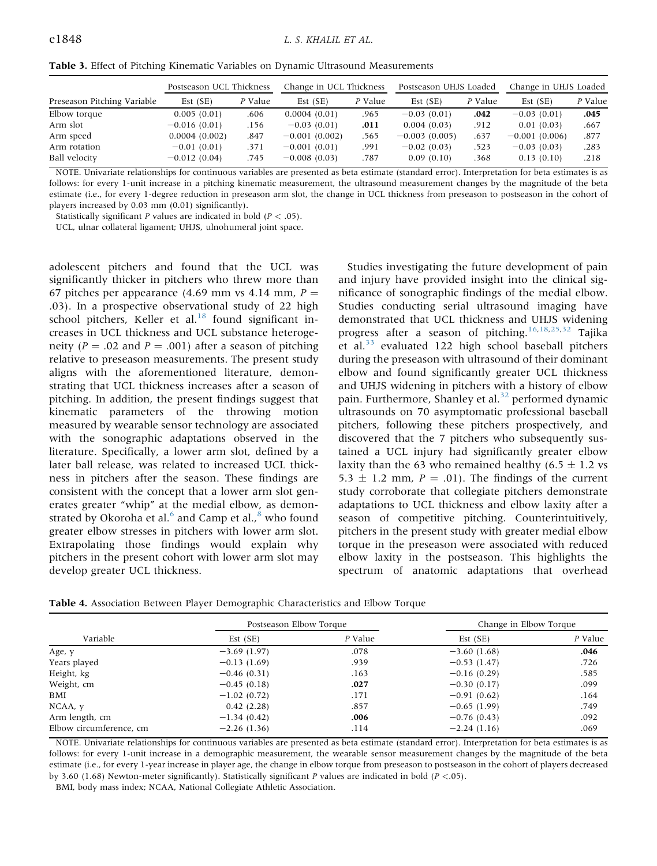<span id="page-7-0"></span>

|  | <b>Table 3.</b> Effect of Pitching Kinematic Variables on Dynamic Ultrasound Measurements |
|--|-------------------------------------------------------------------------------------------|
|--|-------------------------------------------------------------------------------------------|

|                             | Postseason UCL Thickness |         | Change in UCL Thickness |         | Postseason UHJS Loaded |         | Change in UHJS Loaded |         |
|-----------------------------|--------------------------|---------|-------------------------|---------|------------------------|---------|-----------------------|---------|
| Preseason Pitching Variable | Est(SE)                  | P Value | Est(SE)                 | P Value | Est(SE)                | P Value | Est(SE)               | P Value |
| Elbow torque                | 0.005(0.01)              | .606    | 0.0004(0.01)            | .965    | $-0.03(0.01)$          | .042    | $-0.03(0.01)$         | .045    |
| Arm slot                    | $-0.016(0.01)$           | .156    | $-0.03(0.01)$           | .011    | 0.004(0.03)            | .912    | 0.01(0.03)            | .667    |
| Arm speed                   | 0.0004(0.002)            | .847    | $-0.001(0.002)$         | .565    | $-0.003(0.005)$        | .637    | $-0.001(0.006)$       | .877    |
| Arm rotation                | $-0.01(0.01)$            | .371    | $-0.001(0.01)$          | .991    | $-0.02(0.03)$          | .523    | $-0.03(0.03)$         | .283    |
| Ball velocity               | $-0.012(0.04)$           | .745    | $-0.008(0.03)$          | .787    | 0.09(0.10)             | .368    | 0.13(0.10)            | .218    |

NOTE. Univariate relationships for continuous variables are presented as beta estimate (standard error). Interpretation for beta estimates is as follows: for every 1-unit increase in a pitching kinematic measurement, the ultrasound measurement changes by the magnitude of the beta estimate (i.e., for every 1-degree reduction in preseason arm slot, the change in UCL thickness from preseason to postseason in the cohort of players increased by 0.03 mm (0.01) significantly).

Statistically significant P values are indicated in bold ( $P < .05$ ).

UCL, ulnar collateral ligament; UHJS, ulnohumeral joint space.

adolescent pitchers and found that the UCL was significantly thicker in pitchers who threw more than 67 pitches per appearance (4.69 mm vs 4.14 mm,  $P =$ .03). In a prospective observational study of 22 high school pitchers, Keller et al. $18$  found significant increases in UCL thickness and UCL substance heterogeneity ( $P = .02$  and  $P = .001$ ) after a season of pitching relative to preseason measurements. The present study aligns with the aforementioned literature, demonstrating that UCL thickness increases after a season of pitching. In addition, the present findings suggest that kinematic parameters of the throwing motion measured by wearable sensor technology are associated with the sonographic adaptations observed in the literature. Specifically, a lower arm slot, defined by a later ball release, was related to increased UCL thickness in pitchers after the season. These findings are consistent with the concept that a lower arm slot generates greater "whip" at the medial elbow, as demonstrated by Okoroha et al. $^6$  $^6$  and Camp et al., $^8$  $^8$  who found greater elbow stresses in pitchers with lower arm slot. Extrapolating those findings would explain why pitchers in the present cohort with lower arm slot may develop greater UCL thickness.

Studies investigating the future development of pain and injury have provided insight into the clinical significance of sonographic findings of the medial elbow. Studies conducting serial ultrasound imaging have demonstrated that UCL thickness and UHJS widening progress after a season of pitching.<sup>[16,](#page-9-22)[18,](#page-9-14)[25](#page-9-12)[,32](#page-9-21)</sup> Tajika et al. $33$  evaluated 122 high school baseball pitchers during the preseason with ultrasound of their dominant elbow and found significantly greater UCL thickness and UHJS widening in pitchers with a history of elbow pain. Furthermore, Shanley et al.<sup>[32](#page-9-21)</sup> performed dynamic ultrasounds on 70 asymptomatic professional baseball pitchers, following these pitchers prospectively, and discovered that the 7 pitchers who subsequently sustained a UCL injury had significantly greater elbow laxity than the 63 who remained healthy (6.5  $\pm$  1.2 vs 5.3  $\pm$  1.2 mm, P = .01). The findings of the current study corroborate that collegiate pitchers demonstrate adaptations to UCL thickness and elbow laxity after a season of competitive pitching. Counterintuitively, pitchers in the present study with greater medial elbow torque in the preseason were associated with reduced elbow laxity in the postseason. This highlights the spectrum of anatomic adaptations that overhead

<span id="page-7-1"></span>Table 4. Association Between Player Demographic Characteristics and Elbow Torque

|                         | Postseason Elbow Torque |         | Change in Elbow Torque |         |  |
|-------------------------|-------------------------|---------|------------------------|---------|--|
| Variable                | Est(SE)                 | P Value | Est(SE)                | P Value |  |
| Age, y                  | $-3.69(1.97)$           | .078    | $-3.60(1.68)$          | .046    |  |
| Years played            | $-0.13(1.69)$           | .939    | $-0.53(1.47)$          | .726    |  |
| Height, kg              | $-0.46(0.31)$           | .163    | $-0.16(0.29)$          | .585    |  |
| Weight, cm              | $-0.45(0.18)$           | .027    | $-0.30(0.17)$          | .099    |  |
| BMI                     | $-1.02(0.72)$           | .171    | $-0.91(0.62)$          | .164    |  |
| NCAA, y                 | 0.42(2.28)              | .857    | $-0.65(1.99)$          | .749    |  |
| Arm length, cm          | $-1.34(0.42)$           | .006    | $-0.76(0.43)$          | .092    |  |
| Elbow circumference, cm | $-2.26(1.36)$           | .114    | $-2.24(1.16)$          | .069    |  |

NOTE. Univariate relationships for continuous variables are presented as beta estimate (standard error). Interpretation for beta estimates is as follows: for every 1-unit increase in a demographic measurement, the wearable sensor measurement changes by the magnitude of the beta estimate (i.e., for every 1-year increase in player age, the change in elbow torque from preseason to postseason in the cohort of players decreased by 3.60 (1.68) Newton-meter significantly). Statistically significant P values are indicated in bold ( $P < .05$ ).

BMI, body mass index; NCAA, National Collegiate Athletic Association.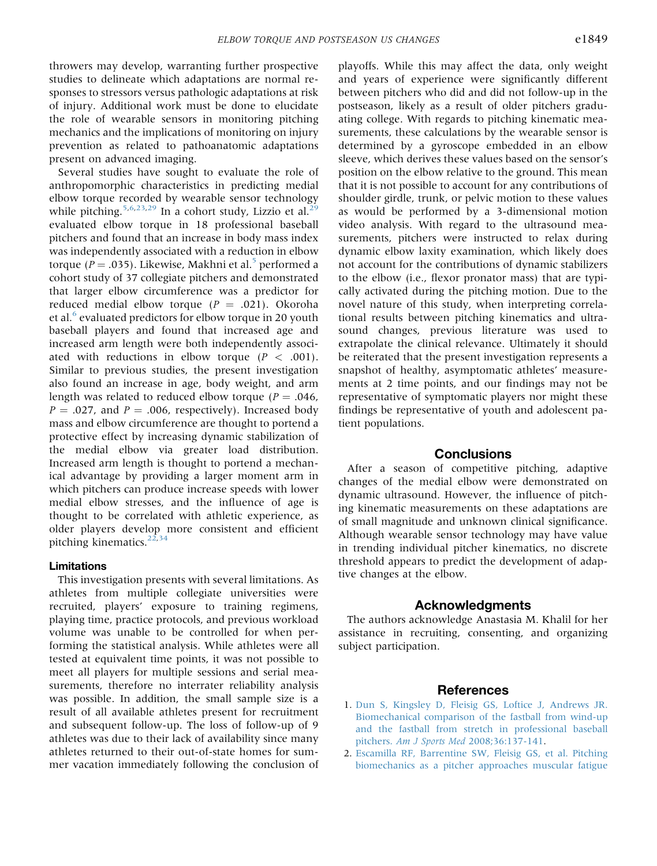throwers may develop, warranting further prospective studies to delineate which adaptations are normal responses to stressors versus pathologic adaptations at risk of injury. Additional work must be done to elucidate the role of wearable sensors in monitoring pitching mechanics and the implications of monitoring on injury prevention as related to pathoanatomic adaptations present on advanced imaging.

Several studies have sought to evaluate the role of anthropomorphic characteristics in predicting medial elbow torque recorded by wearable sensor technology while pitching.<sup>[5,](#page-9-1)[6](#page-9-10)[,23](#page-9-9)[,29](#page-9-16)</sup> In a cohort study, Lizzio et al.<sup>[29](#page-9-16)</sup> evaluated elbow torque in 18 professional baseball pitchers and found that an increase in body mass index was independently associated with a reduction in elbow torque ( $P = .035$  $P = .035$ ). Likewise, Makhni et al.<sup>5</sup> performed a cohort study of 37 collegiate pitchers and demonstrated that larger elbow circumference was a predictor for reduced medial elbow torque ( $P = .021$ ). Okoroha et al.<sup>[6](#page-9-10)</sup> evaluated predictors for elbow torque in 20 youth baseball players and found that increased age and increased arm length were both independently associated with reductions in elbow torque  $(P < .001)$ . Similar to previous studies, the present investigation also found an increase in age, body weight, and arm length was related to reduced elbow torque ( $P = .046$ ,  $P = .027$ , and  $P = .006$ , respectively). Increased body mass and elbow circumference are thought to portend a protective effect by increasing dynamic stabilization of the medial elbow via greater load distribution. Increased arm length is thought to portend a mechanical advantage by providing a larger moment arm in which pitchers can produce increase speeds with lower medial elbow stresses, and the influence of age is thought to be correlated with athletic experience, as older players develop more consistent and efficient pitching kinematics. $22,34$  $22,34$ 

#### Limitations

This investigation presents with several limitations. As athletes from multiple collegiate universities were recruited, players' exposure to training regimens, playing time, practice protocols, and previous workload volume was unable to be controlled for when performing the statistical analysis. While athletes were all tested at equivalent time points, it was not possible to meet all players for multiple sessions and serial measurements, therefore no interrater reliability analysis was possible. In addition, the small sample size is a result of all available athletes present for recruitment and subsequent follow-up. The loss of follow-up of 9 athletes was due to their lack of availability since many athletes returned to their out-of-state homes for summer vacation immediately following the conclusion of playoffs. While this may affect the data, only weight and years of experience were significantly different between pitchers who did and did not follow-up in the postseason, likely as a result of older pitchers graduating college. With regards to pitching kinematic measurements, these calculations by the wearable sensor is determined by a gyroscope embedded in an elbow sleeve, which derives these values based on the sensor's position on the elbow relative to the ground. This mean that it is not possible to account for any contributions of shoulder girdle, trunk, or pelvic motion to these values as would be performed by a 3-dimensional motion video analysis. With regard to the ultrasound measurements, pitchers were instructed to relax during dynamic elbow laxity examination, which likely does not account for the contributions of dynamic stabilizers to the elbow (i.e., flexor pronator mass) that are typically activated during the pitching motion. Due to the novel nature of this study, when interpreting correlational results between pitching kinematics and ultrasound changes, previous literature was used to extrapolate the clinical relevance. Ultimately it should be reiterated that the present investigation represents a snapshot of healthy, asymptomatic athletes' measurements at 2 time points, and our findings may not be representative of symptomatic players nor might these findings be representative of youth and adolescent patient populations.

#### **Conclusions**

After a season of competitive pitching, adaptive changes of the medial elbow were demonstrated on dynamic ultrasound. However, the influence of pitching kinematic measurements on these adaptations are of small magnitude and unknown clinical significance. Although wearable sensor technology may have value in trending individual pitcher kinematics, no discrete threshold appears to predict the development of adaptive changes at the elbow.

#### Acknowledgments

The authors acknowledge Anastasia M. Khalil for her assistance in recruiting, consenting, and organizing subject participation.

#### References

- <span id="page-8-0"></span>1. [Dun S, Kingsley D, Fleisig GS, Loftice J, Andrews JR.](http://refhub.elsevier.com/S2666-061X(21)00157-7/sref1) [Biomechanical comparison of the fastball from wind-up](http://refhub.elsevier.com/S2666-061X(21)00157-7/sref1) [and the fastball from stretch in professional baseball](http://refhub.elsevier.com/S2666-061X(21)00157-7/sref1) pitchers. Am J Sports Med [2008;36:137-141](http://refhub.elsevier.com/S2666-061X(21)00157-7/sref1).
- 2. [Escamilla RF, Barrentine SW, Fleisig GS, et al. Pitching](http://refhub.elsevier.com/S2666-061X(21)00157-7/sref2) [biomechanics as a pitcher approaches muscular fatigue](http://refhub.elsevier.com/S2666-061X(21)00157-7/sref2)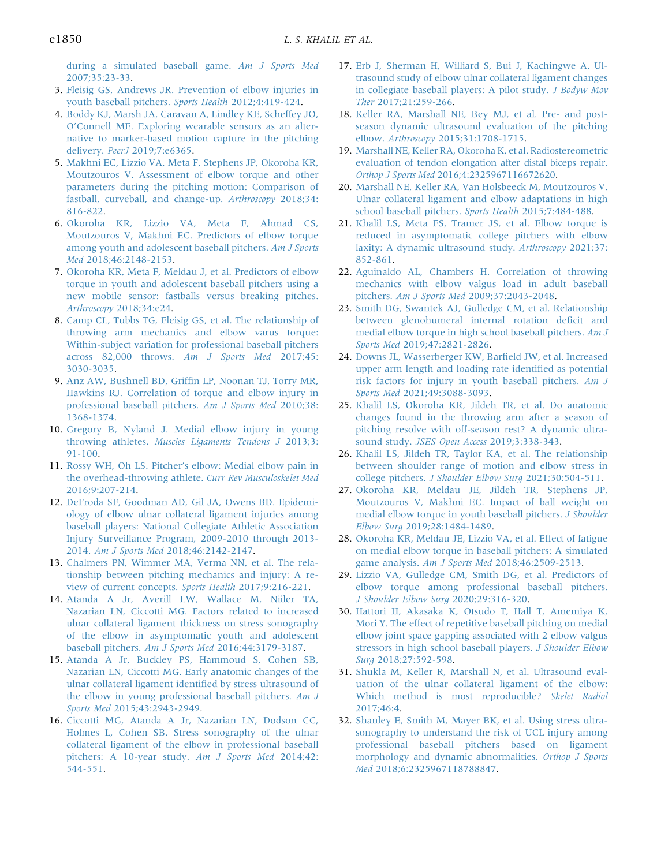[during a simulated baseball game.](http://refhub.elsevier.com/S2666-061X(21)00157-7/sref2) Am J Sports Med [2007;35:23-33.](http://refhub.elsevier.com/S2666-061X(21)00157-7/sref2)

- 3. [Fleisig GS, Andrews JR. Prevention of elbow injuries in](http://refhub.elsevier.com/S2666-061X(21)00157-7/sref3) [youth baseball pitchers.](http://refhub.elsevier.com/S2666-061X(21)00157-7/sref3) Sports Health 2012;4:419-424.
- <span id="page-9-0"></span>4. [Boddy KJ, Marsh JA, Caravan A, Lindley KE, Scheffey JO,](http://refhub.elsevier.com/S2666-061X(21)00157-7/sref4) O'[Connell ME. Exploring wearable sensors as an alter](http://refhub.elsevier.com/S2666-061X(21)00157-7/sref4)[native to marker-based motion capture in the pitching](http://refhub.elsevier.com/S2666-061X(21)00157-7/sref4) delivery. PeerJ [2019;7:e6365](http://refhub.elsevier.com/S2666-061X(21)00157-7/sref4).
- <span id="page-9-1"></span>5. [Makhni EC, Lizzio VA, Meta F, Stephens JP, Okoroha KR,](http://refhub.elsevier.com/S2666-061X(21)00157-7/sref5) [Moutzouros V. Assessment of elbow torque and other](http://refhub.elsevier.com/S2666-061X(21)00157-7/sref5) [parameters during the pitching motion: Comparison of](http://refhub.elsevier.com/S2666-061X(21)00157-7/sref5) [fastball, curveball, and change-up.](http://refhub.elsevier.com/S2666-061X(21)00157-7/sref5) Arthroscopy 2018;34: [816-822](http://refhub.elsevier.com/S2666-061X(21)00157-7/sref5).
- <span id="page-9-10"></span>6. [Okoroha KR, Lizzio VA, Meta F, Ahmad CS,](http://refhub.elsevier.com/S2666-061X(21)00157-7/sref6) [Moutzouros V, Makhni EC. Predictors of elbow torque](http://refhub.elsevier.com/S2666-061X(21)00157-7/sref6) [among youth and adolescent baseball pitchers.](http://refhub.elsevier.com/S2666-061X(21)00157-7/sref6) Am J Sports Med [2018;46:2148-2153.](http://refhub.elsevier.com/S2666-061X(21)00157-7/sref6)
- 7. [Okoroha KR, Meta F, Meldau J, et al. Predictors of elbow](http://refhub.elsevier.com/S2666-061X(21)00157-7/sref7) [torque in youth and adolescent baseball pitchers using a](http://refhub.elsevier.com/S2666-061X(21)00157-7/sref7) [new mobile sensor: fastballs versus breaking pitches.](http://refhub.elsevier.com/S2666-061X(21)00157-7/sref7) Arthroscopy [2018;34:e24](http://refhub.elsevier.com/S2666-061X(21)00157-7/sref7).
- <span id="page-9-2"></span>8. [Camp CL, Tubbs TG, Fleisig GS, et al. The relationship of](http://refhub.elsevier.com/S2666-061X(21)00157-7/sref8) [throwing arm mechanics and elbow varus torque:](http://refhub.elsevier.com/S2666-061X(21)00157-7/sref8) [Within-subject variation for professional baseball pitchers](http://refhub.elsevier.com/S2666-061X(21)00157-7/sref8) [across 82,000 throws.](http://refhub.elsevier.com/S2666-061X(21)00157-7/sref8) Am J Sports Med 2017;45: [3030-3035](http://refhub.elsevier.com/S2666-061X(21)00157-7/sref8).
- <span id="page-9-3"></span>9. Anz AW, Bushnell BD, Griffi[n LP, Noonan TJ, Torry MR,](http://refhub.elsevier.com/S2666-061X(21)00157-7/sref9) [Hawkins RJ. Correlation of torque and elbow injury in](http://refhub.elsevier.com/S2666-061X(21)00157-7/sref9) [professional baseball pitchers.](http://refhub.elsevier.com/S2666-061X(21)00157-7/sref9) Am J Sports Med 2010;38: [1368-1374](http://refhub.elsevier.com/S2666-061X(21)00157-7/sref9).
- <span id="page-9-4"></span>10. [Gregory B, Nyland J. Medial elbow injury in young](http://refhub.elsevier.com/S2666-061X(21)00157-7/sref10) throwing athletes. [Muscles Ligaments Tendons J](http://refhub.elsevier.com/S2666-061X(21)00157-7/sref10) 2013;3: [91-100](http://refhub.elsevier.com/S2666-061X(21)00157-7/sref10).
- 11. Rossy WH, Oh LS. Pitcher'[s elbow: Medial elbow pain in](http://refhub.elsevier.com/S2666-061X(21)00157-7/sref11) [the overhead-throwing athlete.](http://refhub.elsevier.com/S2666-061X(21)00157-7/sref11) Curr Rev Musculoskelet Med [2016;9:207-214.](http://refhub.elsevier.com/S2666-061X(21)00157-7/sref11)
- 12. [DeFroda SF, Goodman AD, Gil JA, Owens BD. Epidemi](http://refhub.elsevier.com/S2666-061X(21)00157-7/sref12)[ology of elbow ulnar collateral ligament injuries among](http://refhub.elsevier.com/S2666-061X(21)00157-7/sref12) [baseball players: National Collegiate Athletic Association](http://refhub.elsevier.com/S2666-061X(21)00157-7/sref12) [Injury Surveillance Program, 2009-2010 through 2013-](http://refhub.elsevier.com/S2666-061X(21)00157-7/sref12) 2014. Am J Sports Med [2018;46:2142-2147.](http://refhub.elsevier.com/S2666-061X(21)00157-7/sref12)
- <span id="page-9-5"></span>13. [Chalmers PN, Wimmer MA, Verma NN, et al. The rela](http://refhub.elsevier.com/S2666-061X(21)00157-7/sref13)[tionship between pitching mechanics and injury: A re](http://refhub.elsevier.com/S2666-061X(21)00157-7/sref13)[view of current concepts.](http://refhub.elsevier.com/S2666-061X(21)00157-7/sref13) Sports Health 2017;9:216-221.
- <span id="page-9-6"></span>14. [Atanda A Jr, Averill LW, Wallace M, Niiler TA,](http://refhub.elsevier.com/S2666-061X(21)00157-7/sref14) [Nazarian LN, Ciccotti MG. Factors related to increased](http://refhub.elsevier.com/S2666-061X(21)00157-7/sref14) [ulnar collateral ligament thickness on stress sonography](http://refhub.elsevier.com/S2666-061X(21)00157-7/sref14) [of the elbow in asymptomatic youth and adolescent](http://refhub.elsevier.com/S2666-061X(21)00157-7/sref14) baseball pitchers. Am J Sports Med [2016;44:3179-3187.](http://refhub.elsevier.com/S2666-061X(21)00157-7/sref14)
- 15. [Atanda A Jr, Buckley PS, Hammoud S, Cohen SB,](http://refhub.elsevier.com/S2666-061X(21)00157-7/sref15) [Nazarian LN, Ciccotti MG. Early anatomic changes of the](http://refhub.elsevier.com/S2666-061X(21)00157-7/sref15) [ulnar collateral ligament identi](http://refhub.elsevier.com/S2666-061X(21)00157-7/sref15)fied by stress ultrasound of [the elbow in young professional baseball pitchers.](http://refhub.elsevier.com/S2666-061X(21)00157-7/sref15) Am J Sports Med [2015;43:2943-2949.](http://refhub.elsevier.com/S2666-061X(21)00157-7/sref15)
- <span id="page-9-22"></span>16. [Ciccotti MG, Atanda A Jr, Nazarian LN, Dodson CC,](http://refhub.elsevier.com/S2666-061X(21)00157-7/sref16) [Holmes L, Cohen SB. Stress sonography of the ulnar](http://refhub.elsevier.com/S2666-061X(21)00157-7/sref16) [collateral ligament of the elbow in professional baseball](http://refhub.elsevier.com/S2666-061X(21)00157-7/sref16) [pitchers: A 10-year study.](http://refhub.elsevier.com/S2666-061X(21)00157-7/sref16) Am J Sports Med 2014;42: [544-551](http://refhub.elsevier.com/S2666-061X(21)00157-7/sref16).
- 17. [Erb J, Sherman H, Williard S, Bui J, Kachingwe A. Ul](http://refhub.elsevier.com/S2666-061X(21)00157-7/sref17)[trasound study of elbow ulnar collateral ligament changes](http://refhub.elsevier.com/S2666-061X(21)00157-7/sref17) [in collegiate baseball players: A pilot study.](http://refhub.elsevier.com/S2666-061X(21)00157-7/sref17) J Bodyw Mov Ther [2017;21:259-266](http://refhub.elsevier.com/S2666-061X(21)00157-7/sref17).
- <span id="page-9-14"></span>18. [Keller RA, Marshall NE, Bey MJ, et al. Pre- and post](http://refhub.elsevier.com/S2666-061X(21)00157-7/sref18)[season dynamic ultrasound evaluation of the pitching](http://refhub.elsevier.com/S2666-061X(21)00157-7/sref18) elbow. Arthroscopy [2015;31:1708-1715.](http://refhub.elsevier.com/S2666-061X(21)00157-7/sref18)
- <span id="page-9-18"></span>19. [Marshall NE, Keller RA, Okoroha K, et al. Radiostereometric](http://refhub.elsevier.com/S2666-061X(21)00157-7/sref19) [evaluation of tendon elongation after distal biceps repair.](http://refhub.elsevier.com/S2666-061X(21)00157-7/sref19) Orthop J Sports Med [2016;4:2325967116672620](http://refhub.elsevier.com/S2666-061X(21)00157-7/sref19).
- 20. [Marshall NE, Keller RA, Van Holsbeeck M, Moutzouros V.](http://refhub.elsevier.com/S2666-061X(21)00157-7/sref20) [Ulnar collateral ligament and elbow adaptations in high](http://refhub.elsevier.com/S2666-061X(21)00157-7/sref20) [school baseball pitchers.](http://refhub.elsevier.com/S2666-061X(21)00157-7/sref20) Sports Health 2015;7:484-488.
- <span id="page-9-7"></span>21. [Khalil LS, Meta FS, Tramer JS, et al. Elbow torque is](http://refhub.elsevier.com/S2666-061X(21)00157-7/sref21) [reduced in asymptomatic college pitchers with elbow](http://refhub.elsevier.com/S2666-061X(21)00157-7/sref21) [laxity: A dynamic ultrasound study.](http://refhub.elsevier.com/S2666-061X(21)00157-7/sref21) Arthroscopy 2021;37: [852-861.](http://refhub.elsevier.com/S2666-061X(21)00157-7/sref21)
- <span id="page-9-8"></span>22. [Aguinaldo AL, Chambers H. Correlation of throwing](http://refhub.elsevier.com/S2666-061X(21)00157-7/sref22) [mechanics with elbow valgus load in adult baseball](http://refhub.elsevier.com/S2666-061X(21)00157-7/sref22) pitchers. Am J Sports Med [2009;37:2043-2048](http://refhub.elsevier.com/S2666-061X(21)00157-7/sref22).
- <span id="page-9-9"></span>23. [Smith DG, Swantek AJ, Gulledge CM, et al. Relationship](http://refhub.elsevier.com/S2666-061X(21)00157-7/sref23) [between glenohumeral internal rotation de](http://refhub.elsevier.com/S2666-061X(21)00157-7/sref23)ficit and [medial elbow torque in high school baseball pitchers.](http://refhub.elsevier.com/S2666-061X(21)00157-7/sref23) Am J Sports Med [2019;47:2821-2826](http://refhub.elsevier.com/S2666-061X(21)00157-7/sref23).
- <span id="page-9-11"></span>24. [Downs JL, Wasserberger KW, Bar](http://refhub.elsevier.com/S2666-061X(21)00157-7/sref24)field JW, et al. Increased [upper arm length and loading rate identi](http://refhub.elsevier.com/S2666-061X(21)00157-7/sref24)fied as potential [risk factors for injury in youth baseball pitchers.](http://refhub.elsevier.com/S2666-061X(21)00157-7/sref24) Am J Sports Med [2021;49:3088-3093](http://refhub.elsevier.com/S2666-061X(21)00157-7/sref24).
- <span id="page-9-12"></span>25. [Khalil LS, Okoroha KR, Jildeh TR, et al. Do anatomic](http://refhub.elsevier.com/S2666-061X(21)00157-7/sref25) [changes found in the throwing arm after a season of](http://refhub.elsevier.com/S2666-061X(21)00157-7/sref25) [pitching resolve with off-season rest? A dynamic ultra](http://refhub.elsevier.com/S2666-061X(21)00157-7/sref25)sound study. [JSES Open Access](http://refhub.elsevier.com/S2666-061X(21)00157-7/sref25) 2019;3:338-343.
- <span id="page-9-13"></span>26. [Khalil LS, Jildeh TR, Taylor KA, et al. The relationship](http://refhub.elsevier.com/S2666-061X(21)00157-7/sref26) [between shoulder range of motion and elbow stress in](http://refhub.elsevier.com/S2666-061X(21)00157-7/sref26) college pitchers. [J Shoulder Elbow Surg](http://refhub.elsevier.com/S2666-061X(21)00157-7/sref26) 2021;30:504-511.
- <span id="page-9-20"></span>27. [Okoroha KR, Meldau JE, Jildeh TR, Stephens JP,](http://refhub.elsevier.com/S2666-061X(21)00157-7/sref27) [Moutzouros V, Makhni EC. Impact of ball weight on](http://refhub.elsevier.com/S2666-061X(21)00157-7/sref27) [medial elbow torque in youth baseball pitchers.](http://refhub.elsevier.com/S2666-061X(21)00157-7/sref27) J Shoulder Elbow Surg [2019;28:1484-1489.](http://refhub.elsevier.com/S2666-061X(21)00157-7/sref27)
- <span id="page-9-15"></span>28. [Okoroha KR, Meldau JE, Lizzio VA, et al. Effect of fatigue](http://refhub.elsevier.com/S2666-061X(21)00157-7/sref28) [on medial elbow torque in baseball pitchers: A simulated](http://refhub.elsevier.com/S2666-061X(21)00157-7/sref28) game analysis. Am J Sports Med [2018;46:2509-2513.](http://refhub.elsevier.com/S2666-061X(21)00157-7/sref28)
- <span id="page-9-16"></span>29. [Lizzio VA, Gulledge CM, Smith DG, et al. Predictors of](http://refhub.elsevier.com/S2666-061X(21)00157-7/sref29) [elbow torque among professional baseball pitchers.](http://refhub.elsevier.com/S2666-061X(21)00157-7/sref29) [J Shoulder Elbow Surg](http://refhub.elsevier.com/S2666-061X(21)00157-7/sref29) 2020;29:316-320.
- <span id="page-9-17"></span>30. [Hattori H, Akasaka K, Otsudo T, Hall T, Amemiya K,](http://refhub.elsevier.com/S2666-061X(21)00157-7/sref30) [Mori Y. The effect of repetitive baseball pitching on medial](http://refhub.elsevier.com/S2666-061X(21)00157-7/sref30) [elbow joint space gapping associated with 2 elbow valgus](http://refhub.elsevier.com/S2666-061X(21)00157-7/sref30) [stressors in high school baseball players.](http://refhub.elsevier.com/S2666-061X(21)00157-7/sref30) J Shoulder Elbow Surg [2018;27:592-598](http://refhub.elsevier.com/S2666-061X(21)00157-7/sref30).
- <span id="page-9-19"></span>31. [Shukla M, Keller R, Marshall N, et al. Ultrasound eval](http://refhub.elsevier.com/S2666-061X(21)00157-7/sref31)[uation of the ulnar collateral ligament of the elbow:](http://refhub.elsevier.com/S2666-061X(21)00157-7/sref31) [Which method is most reproducible?](http://refhub.elsevier.com/S2666-061X(21)00157-7/sref31) Skelet Radiol [2017;46:4](http://refhub.elsevier.com/S2666-061X(21)00157-7/sref31).
- <span id="page-9-21"></span>32. [Shanley E, Smith M, Mayer BK, et al. Using stress ultra](http://refhub.elsevier.com/S2666-061X(21)00157-7/sref32)[sonography to understand the risk of UCL injury among](http://refhub.elsevier.com/S2666-061X(21)00157-7/sref32) [professional baseball pitchers based on ligament](http://refhub.elsevier.com/S2666-061X(21)00157-7/sref32) [morphology and dynamic abnormalities.](http://refhub.elsevier.com/S2666-061X(21)00157-7/sref32) Orthop J Sports Med [2018;6:2325967118788847.](http://refhub.elsevier.com/S2666-061X(21)00157-7/sref32)